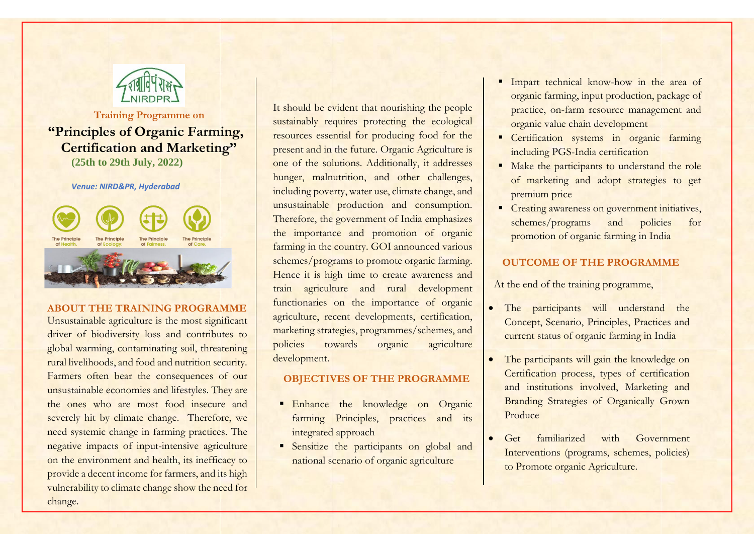

**Training Programme on**

# **"Principles of Organic Farming, Certification and Marketing" (25th to 29th July, 2022)**

#### *Venue: NIRD&PR, Hyderabad*



### **ABOUT THE TRAINING PROGRAMME**

Unsustainable agriculture is the most significant driver of biodiversity loss and contributes to global warming, contaminating soil, threatening rural livelihoods, and food and nutrition security. Farmers often bear the consequences of our unsustainable economies and lifestyles. They are the ones who are most food insecure and severely hit by climate change. Therefore, we need systemic change in farming practices. The negative impacts of input-intensive agriculture on the environment and health, its inefficacy to provide a decent income for farmers, and its high vulnerability to climate change show the need for change.

It should be evident that nourishing the people sustainably requires protecting the ecological resources essential for producing food for the present and in the future. Organic Agriculture is one of the solutions. Additionally, it addresses hunger, malnutrition, and other challenges, including poverty, water use, climate change, and unsustainable production and consumption. Therefore, the government of India emphasizes the importance and promotion of organic farming in the country. GOI announced various schemes/programs to promote organic farming. Hence it is high time to create awareness and train agriculture and rural development functionaries on the importance of organic agriculture, recent developments, certification, marketing strategies, programmes/schemes, and policies towards organic agriculture development.

# **OBJECTIVES OF THE PROGRAMME**

- **Enhance** the knowledge on Organic farming Principles, practices and its integrated approach
- **Sensitize** the participants on global and national scenario of organic agriculture
- Impart technical know-how in the area of organic farming, input production, package of practice, on-farm resource management and organic value chain development
- Certification systems in organic farming including PGS-India certification
- Make the participants to understand the role of marketing and adopt strategies to get premium price
- Creating awareness on government initiatives, schemes/programs and policies for promotion of organic farming in India

# **OUTCOME OF THE PROGRAMME**

At the end of the training programme,

- The participants will understand the Concept, Scenario, Principles, Practices and current status of organic farming in India
- The participants will gain the knowledge on Certification process, types of certification and institutions involved, Marketing and Branding Strategies of Organically Grown Produce
- Get familiarized with Government Interventions (programs, schemes, policies) to Promote organic Agriculture.